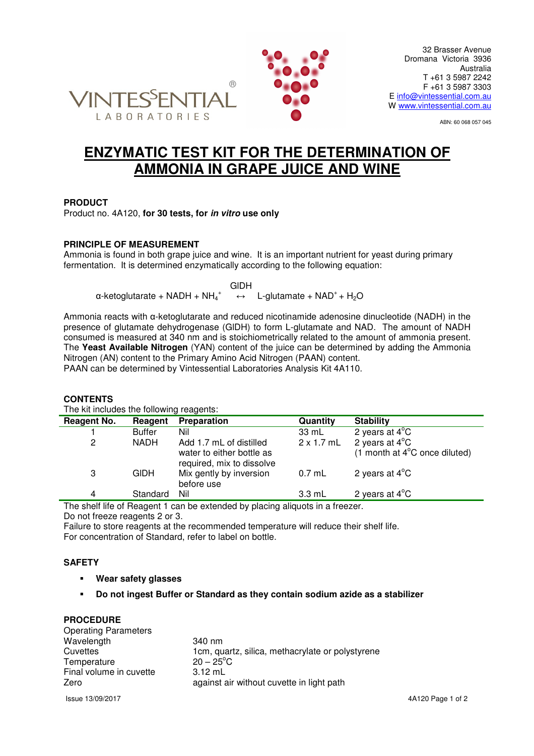



ABN: 60 068 057 045

# **ENZYMATIC TEST KIT FOR THE DETERMINATION OF AMMONIA IN GRAPE JUICE AND WINE**

## **PRODUCT**

Product no. 4A120, **for 30 tests, for in vitro use only**

## **PRINCIPLE OF MEASUREMENT**

Ammonia is found in both grape juice and wine. It is an important nutrient for yeast during primary fermentation. It is determined enzymatically according to the following equation:

**GIDH**  $\alpha$ -ketoglutarate + NADH + NH<sub>4</sub><sup>+</sup>  $\leftrightarrow$  L-glutamate + NAD<sup>+</sup> + H<sub>2</sub>O

Ammonia reacts with α-ketoglutarate and reduced nicotinamide adenosine dinucleotide (NADH) in the presence of glutamate dehydrogenase (GlDH) to form L-glutamate and NAD. The amount of NADH consumed is measured at 340 nm and is stoichiometrically related to the amount of ammonia present. The **Yeast Available Nitrogen** (YAN) content of the juice can be determined by adding the Ammonia Nitrogen (AN) content to the Primary Amino Acid Nitrogen (PAAN) content. PAAN can be determined by Vintessential Laboratories Analysis Kit 4A110.

#### **CONTENTS**

The kit includes the following reagents:

| Reagent No. | Reagent       | <b>Preparation</b>                                     | Quantity          | <b>Stability</b>                          |  |  |  |
|-------------|---------------|--------------------------------------------------------|-------------------|-------------------------------------------|--|--|--|
|             | <b>Buffer</b> | Nil                                                    | 33 mL             | 2 years at $4^{\circ}$ C                  |  |  |  |
| 2           | <b>NADH</b>   | Add 1.7 mL of distilled                                | $2 \times 1.7$ mL | 2 years at $4^{\circ}$ C                  |  |  |  |
|             |               | water to either bottle as<br>required, mix to dissolve |                   | $(1$ month at $4^{\circ}$ C once diluted) |  |  |  |
| 3           | <b>GIDH</b>   | Mix gently by inversion<br>before use                  | $0.7$ mL          | 2 years at $4^{\circ}$ C                  |  |  |  |
| 4           | Standard      | Nil                                                    | $3.3 \text{ mL}$  | 2 years at $4^{\circ}$ C                  |  |  |  |
|             |               |                                                        |                   |                                           |  |  |  |

The shelf life of Reagent 1 can be extended by placing aliquots in a freezer. Do not freeze reagents 2 or 3.

Failure to store reagents at the recommended temperature will reduce their shelf life. For concentration of Standard, refer to label on bottle.

## **SAFETY**

- **Wear safety glasses**
- **Do not ingest Buffer or Standard as they contain sodium azide as a stabilizer**

## **PROCEDURE**

| <b>Operating Parameters</b> |                                                  |
|-----------------------------|--------------------------------------------------|
| Wavelength                  | 340 nm                                           |
| Cuvettes                    | 1cm, quartz, silica, methacrylate or polystyrene |
| Temperature                 | $20 - 25^{\circ}$ C                              |
| Final volume in cuvette     | $3.12 \text{ mL}$                                |
| Zero                        | against air without cuvette in light path        |
|                             |                                                  |